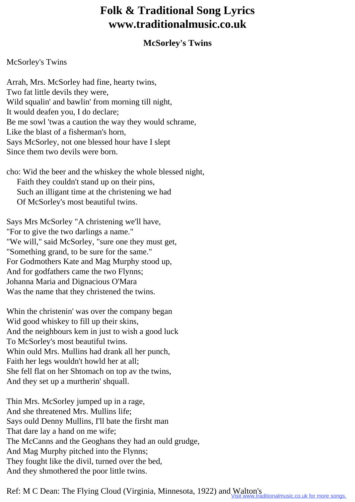## **Folk & Traditional Song Lyrics www.traditionalmusic.co.uk**

## **McSorley's Twins**

## McSorley's Twins

Arrah, Mrs. McSorley had fine, hearty twins, Two fat little devils they were, Wild squalin' and bawlin' from morning till night, It would deafen you, I do declare; Be me sowl 'twas a caution the way they would schrame, Like the blast of a fisherman's horn, Says McSorley, not one blessed hour have I slept Since them two devils were born.

cho: Wid the beer and the whiskey the whole blessed night, Faith they couldn't stand up on their pins, Such an illigant time at the christening we had Of McSorley's most beautiful twins.

Says Mrs McSorley "A christening we'll have, "For to give the two darlings a name." "We will," said McSorley, "sure one they must get, "Something grand, to be sure for the same." For Godmothers Kate and Mag Murphy stood up, And for godfathers came the two Flynns; Johanna Maria and Dignacious O'Mara Was the name that they christened the twins.

Whin the christenin' was over the company began Wid good whiskey to fill up their skins, And the neighbours kem in just to wish a good luck To McSorley's most beautiful twins. Whin ould Mrs. Mullins had drank all her punch, Faith her legs wouldn't howld her at all; She fell flat on her Shtomach on top av the twins, And they set up a murtherin' shquall.

Thin Mrs. McSorley jumped up in a rage, And she threatened Mrs. Mullins life; Says ould Denny Mullins, I'll bate the firsht man That dare lay a hand on me wife; The McCanns and the Geoghans they had an ould grudge, And Mag Murphy pitched into the Flynns; They fought like the divil, turned over the bed, And they shmothered the poor little twins.

Ref: M C Dean: The Flying Cloud (Virginia, Minnesota, 1922) and Walton's<br>Visit www.traditionalmusic.co.uk for more songs.